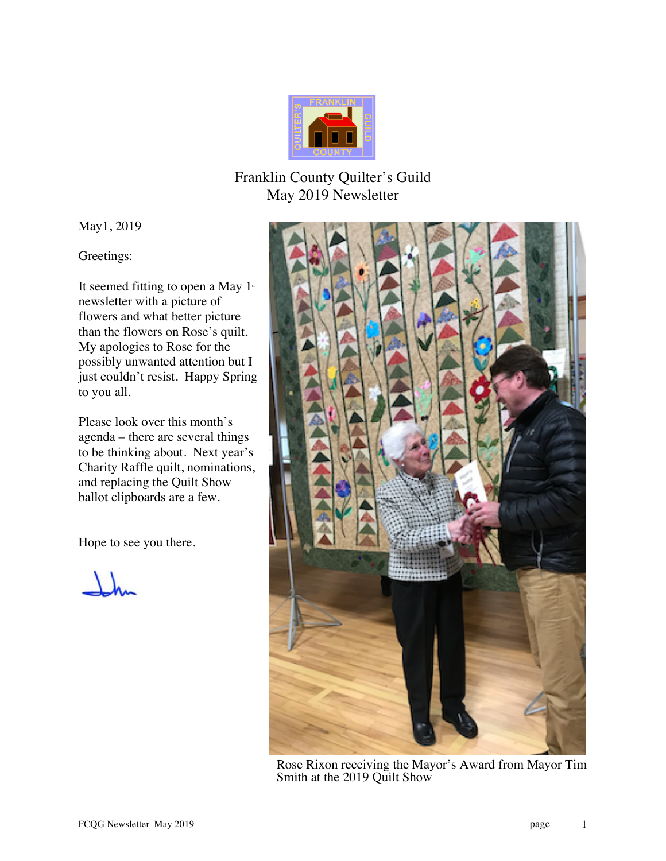

## Franklin County Quilter's Guild May 2019 Newsletter

May1, 2019

Greetings:

It seemed fitting to open a May  $1$ <sup>st</sup> newsletter with a picture of flowers and what better picture than the flowers on Rose's quilt. My apologies to Rose for the possibly unwanted attention but I just couldn't resist. Happy Spring to you all.

Please look over this month's agenda – there are several things to be thinking about. Next year's Charity Raffle quilt, nominations, and replacing the Quilt Show ballot clipboards are a few.

Hope to see you there.

 $\Lambda$ 



Rose Rixon receiving the Mayor's Award from Mayor Tim Smith at the 2019 Quilt Show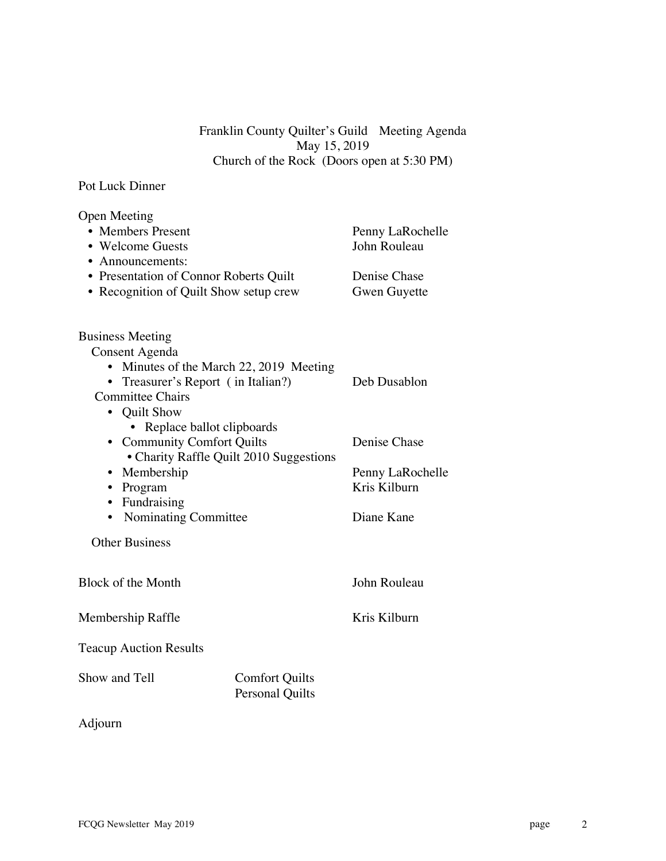Franklin County Quilter's Guild Meeting Agenda May 15, 2019 Church of the Rock (Doors open at 5:30 PM)

## Pot Luck Dinner

| <b>Open Meeting</b><br>• Members Present                                                                                                                                                                                                                                       |                                                 | Penny LaRochelle                    |
|--------------------------------------------------------------------------------------------------------------------------------------------------------------------------------------------------------------------------------------------------------------------------------|-------------------------------------------------|-------------------------------------|
| • Welcome Guests                                                                                                                                                                                                                                                               |                                                 | John Rouleau                        |
| • Announcements:<br>• Presentation of Connor Roberts Quilt<br>• Recognition of Quilt Show setup crew                                                                                                                                                                           |                                                 | Denise Chase<br><b>Gwen Guyette</b> |
| <b>Business Meeting</b><br>Consent Agenda                                                                                                                                                                                                                                      |                                                 |                                     |
| • Minutes of the March 22, 2019 Meeting<br>• Treasurer's Report (in Italian?)<br><b>Committee Chairs</b><br>• Quilt Show<br>• Replace ballot clipboards<br>• Community Comfort Quilts<br>• Charity Raffle Quilt 2010 Suggestions<br>• Membership<br>• Program<br>• Fundraising |                                                 | Deb Dusablon                        |
|                                                                                                                                                                                                                                                                                |                                                 | Denise Chase                        |
|                                                                                                                                                                                                                                                                                |                                                 | Penny LaRochelle<br>Kris Kilburn    |
| • Nominating Committee                                                                                                                                                                                                                                                         |                                                 | Diane Kane                          |
| <b>Other Business</b>                                                                                                                                                                                                                                                          |                                                 |                                     |
| <b>Block of the Month</b>                                                                                                                                                                                                                                                      |                                                 | John Rouleau                        |
| Membership Raffle                                                                                                                                                                                                                                                              |                                                 | Kris Kilburn                        |
| <b>Teacup Auction Results</b>                                                                                                                                                                                                                                                  |                                                 |                                     |
| Show and Tell                                                                                                                                                                                                                                                                  | <b>Comfort Quilts</b><br><b>Personal Quilts</b> |                                     |

## Adjourn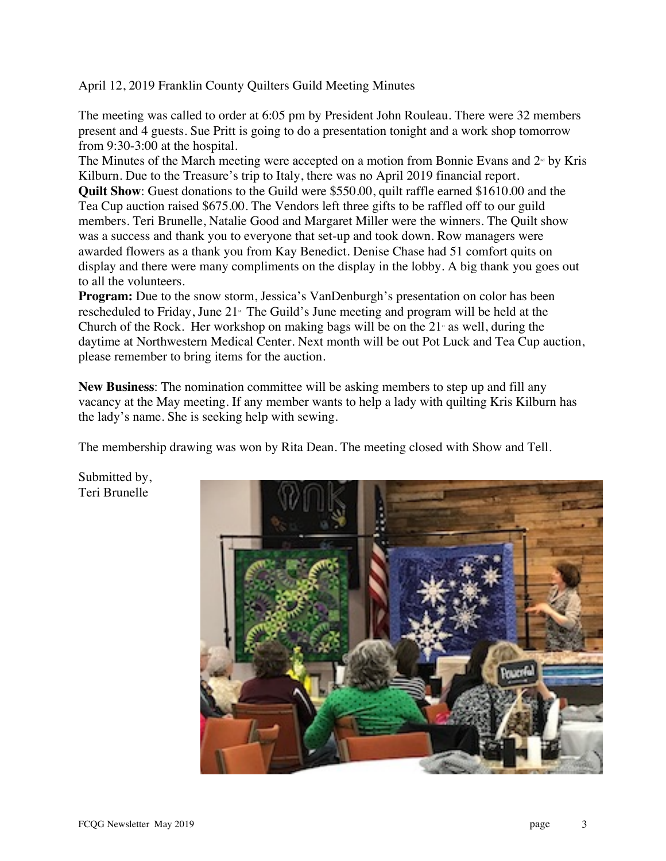April 12, 2019 Franklin County Quilters Guild Meeting Minutes

The meeting was called to order at 6:05 pm by President John Rouleau. There were 32 members present and 4 guests. Sue Pritt is going to do a presentation tonight and a work shop tomorrow from 9:30-3:00 at the hospital.

The Minutes of the March meeting were accepted on a motion from Bonnie Evans and  $2<sup>nd</sup>$  by Kris Kilburn. Due to the Treasure's trip to Italy, there was no April 2019 financial report. **Quilt Show**: Guest donations to the Guild were \$550.00, quilt raffle earned \$1610.00 and the

Tea Cup auction raised \$675.00. The Vendors left three gifts to be raffled off to our guild members. Teri Brunelle, Natalie Good and Margaret Miller were the winners. The Quilt show was a success and thank you to everyone that set-up and took down. Row managers were awarded flowers as a thank you from Kay Benedict. Denise Chase had 51 comfort quits on display and there were many compliments on the display in the lobby. A big thank you goes out to all the volunteers.

**Program:** Due to the snow storm, Jessica's VanDenburgh's presentation on color has been rescheduled to Friday, June  $21<sup>*</sup>$ . The Guild's June meeting and program will be held at the Church of the Rock. Her workshop on making bags will be on the  $21<sup>*</sup>$  as well, during the daytime at Northwestern Medical Center. Next month will be out Pot Luck and Tea Cup auction, please remember to bring items for the auction.

**New Business**: The nomination committee will be asking members to step up and fill any vacancy at the May meeting. If any member wants to help a lady with quilting Kris Kilburn has the lady's name. She is seeking help with sewing.

The membership drawing was won by Rita Dean. The meeting closed with Show and Tell.

Submitted by, Teri Brunelle